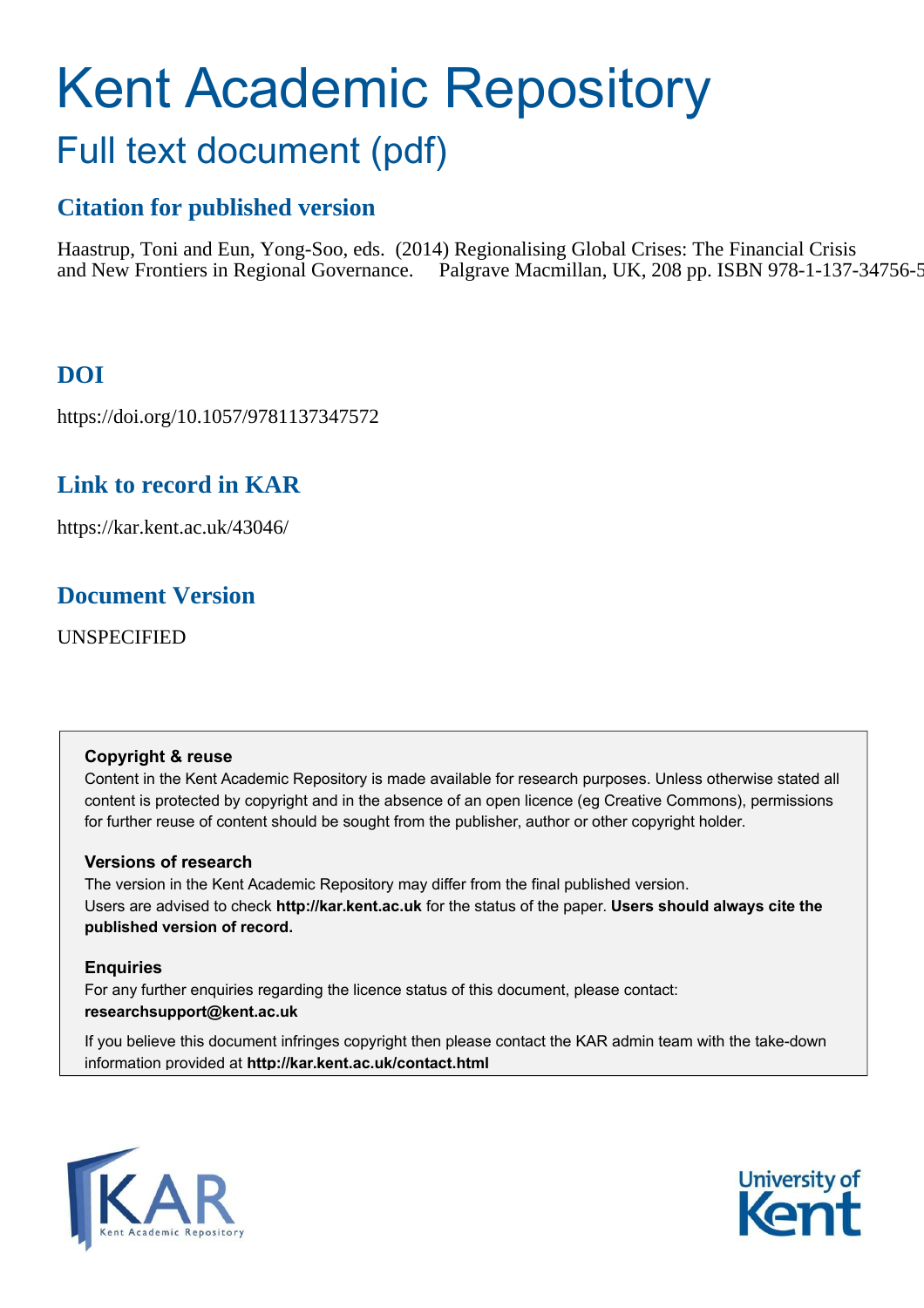# Kent Academic Repository Full text document (pdf)

### **Citation for published version**

Haastrup, Toni and Eun, Yong-Soo, eds. (2014) Regionalising Global Crises: The Financial Crisis and New Frontiers in Regional Governance. Palgrave Macmillan, UK, 208 pp. ISBN 978-1-137-34756-5.

## **DOI**

https://doi.org/10.1057/9781137347572

### **Link to record in KAR**

https://kar.kent.ac.uk/43046/

### **Document Version**

UNSPECIFIED

#### **Copyright & reuse**

Content in the Kent Academic Repository is made available for research purposes. Unless otherwise stated all content is protected by copyright and in the absence of an open licence (eg Creative Commons), permissions for further reuse of content should be sought from the publisher, author or other copyright holder.

#### **Versions of research**

The version in the Kent Academic Repository may differ from the final published version. Users are advised to check **http://kar.kent.ac.uk** for the status of the paper. **Users should always cite the published version of record.**

#### **Enquiries**

For any further enquiries regarding the licence status of this document, please contact: **researchsupport@kent.ac.uk**

If you believe this document infringes copyright then please contact the KAR admin team with the take-down information provided at **http://kar.kent.ac.uk/contact.html**



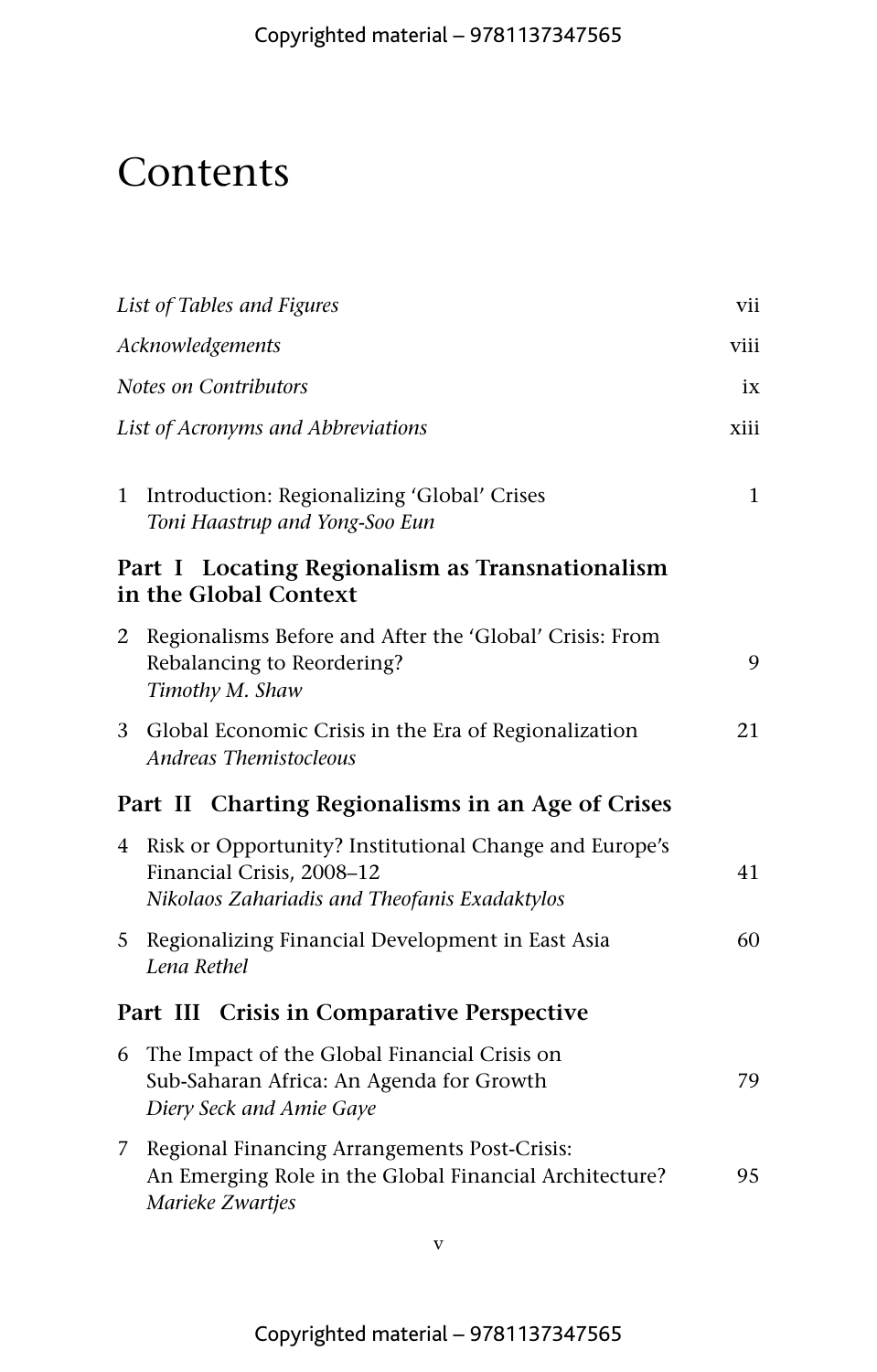## **Contents**

| vii          |
|--------------|
| viii         |
| ix           |
| xiii         |
| $\mathbf{1}$ |
|              |
| 9            |
| 21           |
|              |
| 41           |
| 60           |
|              |
| 79           |
| 95           |
|              |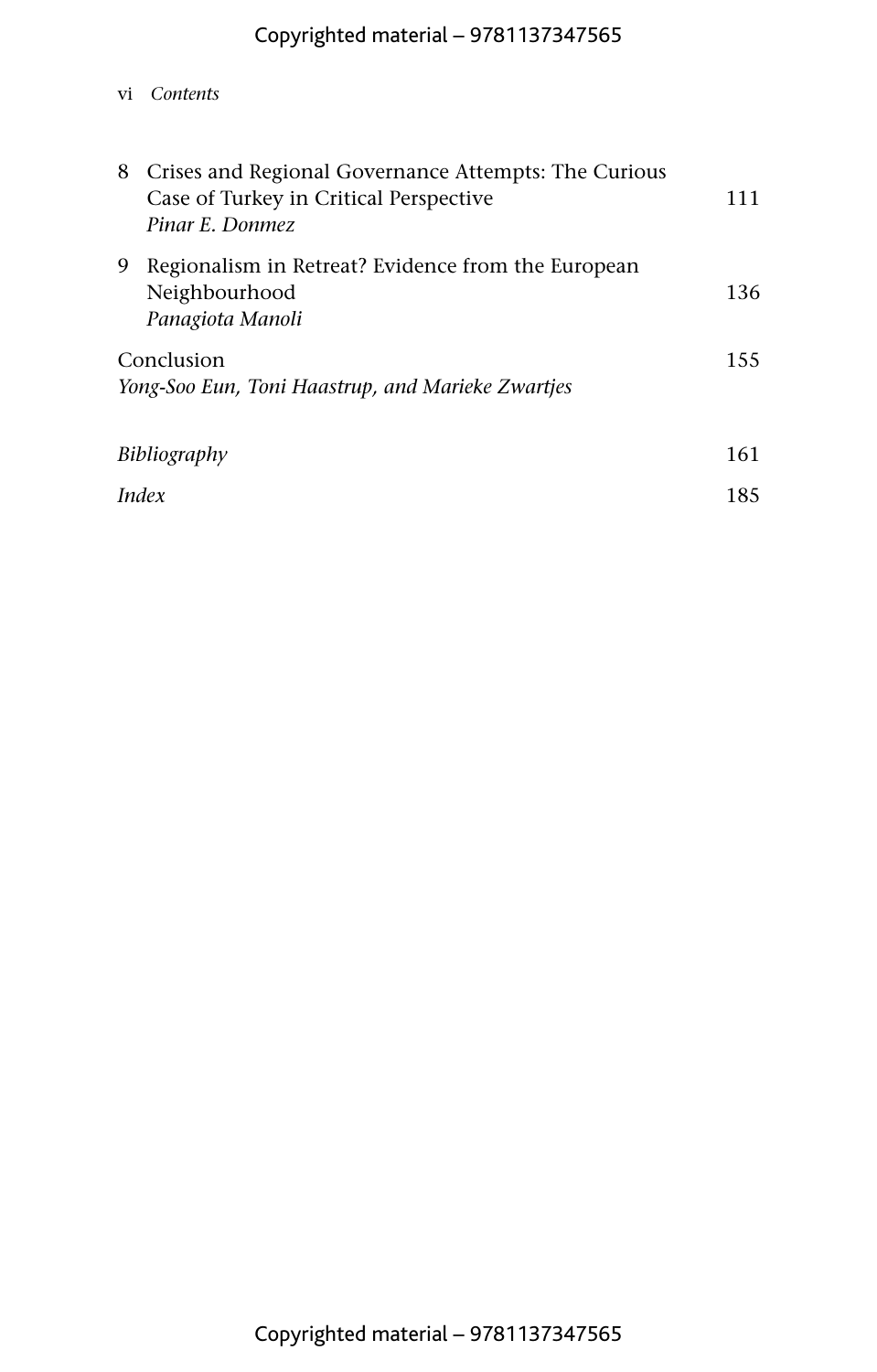#### Copyrighted material – 9781137347565

#### vi *Contents*

| 8. | Crises and Regional Governance Attempts: The Curious<br>Case of Turkey in Critical Perspective<br>Pinar E. Donmez | 111 |
|----|-------------------------------------------------------------------------------------------------------------------|-----|
| 9  | Regionalism in Retreat? Evidence from the European<br>Neighbourhood<br>Panagiota Manoli                           | 136 |
|    | Conclusion<br>Yong-Soo Eun, Toni Haastrup, and Marieke Zwartjes                                                   | 155 |
|    | Bibliography                                                                                                      | 161 |
|    | <b>Index</b>                                                                                                      | 185 |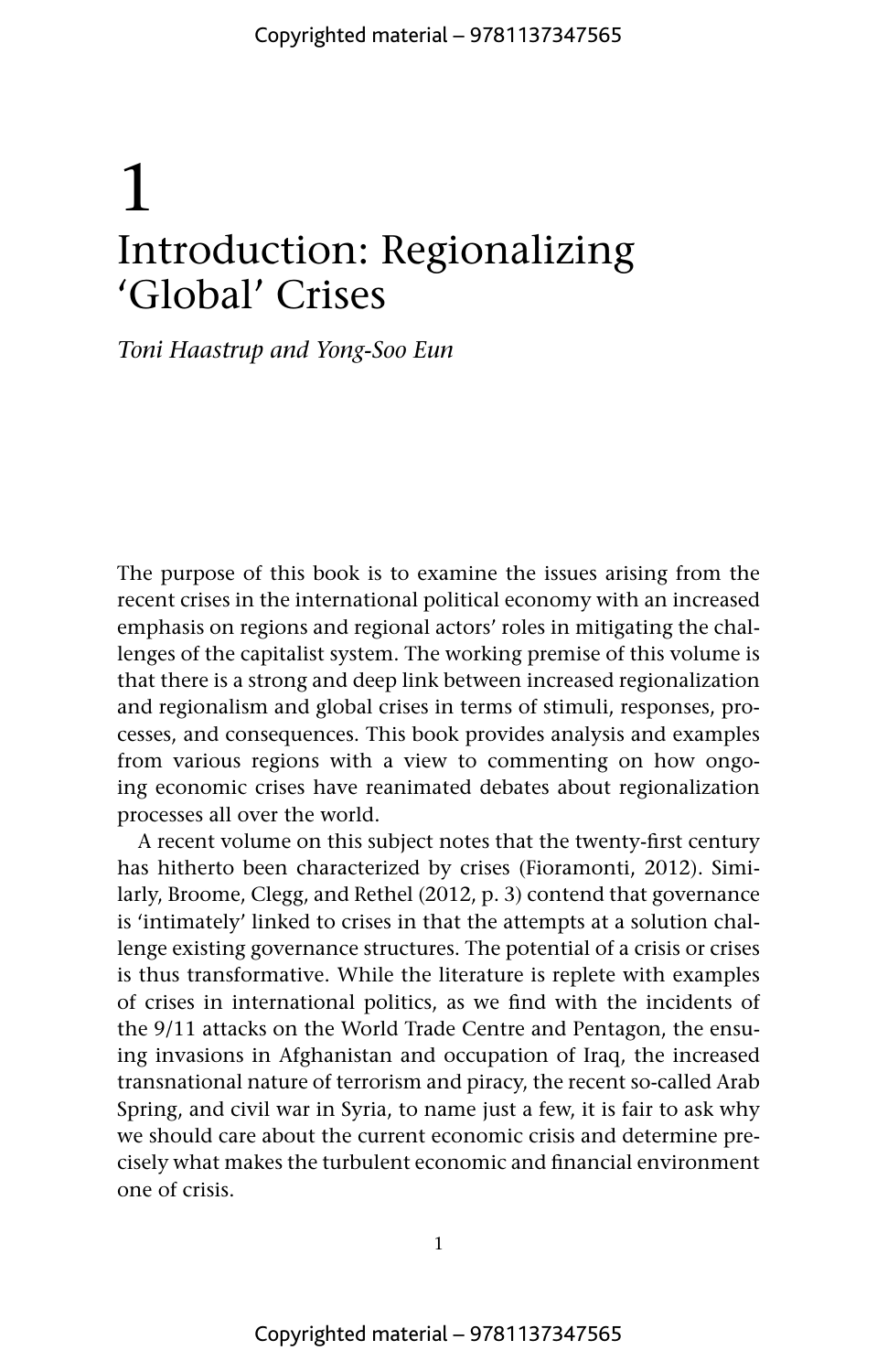## 1 Introduction: Regionalizing 'Global' Crises

*Toni Haastrup and Yong-Soo Eun*

The purpose of this book is to examine the issues arising from the recent crises in the international political economy with an increased emphasis on regions and regional actors' roles in mitigating the challenges of the capitalist system. The working premise of this volume is that there is a strong and deep link between increased regionalization and regionalism and global crises in terms of stimuli, responses, processes, and consequences. This book provides analysis and examples from various regions with a view to commenting on how ongoing economic crises have reanimated debates about regionalization processes all over the world.

A recent volume on this subject notes that the twenty-first century has hitherto been characterized by crises (Fioramonti, 2012). Similarly, Broome, Clegg, and Rethel (2012, p. 3) contend that governance is 'intimately' linked to crises in that the attempts at a solution challenge existing governance structures. The potential of a crisis or crises is thus transformative. While the literature is replete with examples of crises in international politics, as we find with the incidents of the 9/11 attacks on the World Trade Centre and Pentagon, the ensuing invasions in Afghanistan and occupation of Iraq, the increased transnational nature of terrorism and piracy, the recent so-called Arab Spring, and civil war in Syria, to name just a few, it is fair to ask why we should care about the current economic crisis and determine precisely what makes the turbulent economic and financial environment one of crisis.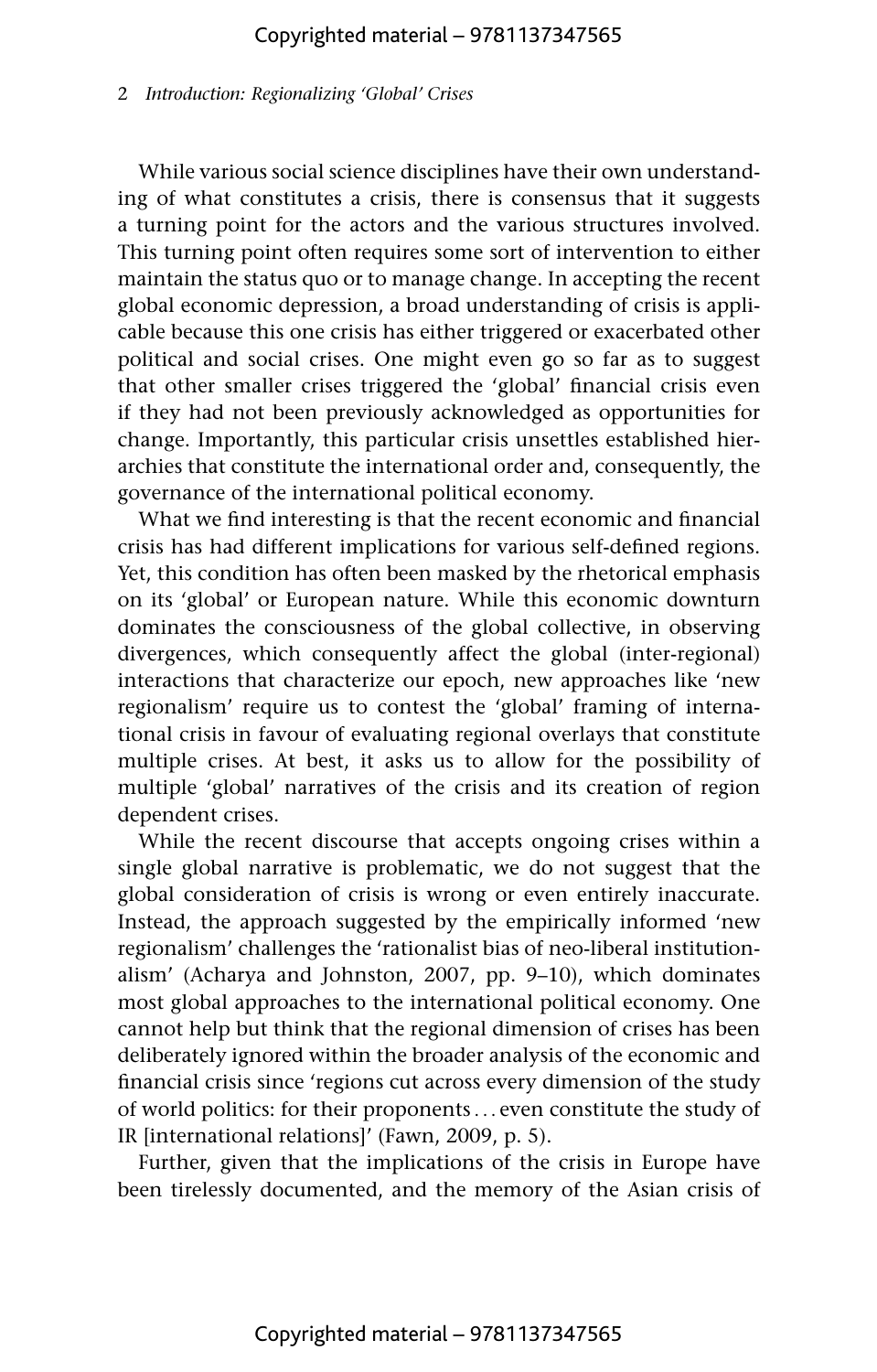#### 2 *Introduction: Regionalizing 'Global' Crises*

While various social science disciplines have their own understanding of what constitutes a crisis, there is consensus that it suggests a turning point for the actors and the various structures involved. This turning point often requires some sort of intervention to either maintain the status quo or to manage change. In accepting the recent global economic depression, a broad understanding of crisis is applicable because this one crisis has either triggered or exacerbated other political and social crises. One might even go so far as to suggest that other smaller crises triggered the 'global' financial crisis even if they had not been previously acknowledged as opportunities for change. Importantly, this particular crisis unsettles established hierarchies that constitute the international order and, consequently, the governance of the international political economy.

What we find interesting is that the recent economic and financial crisis has had different implications for various self-defined regions. Yet, this condition has often been masked by the rhetorical emphasis on its 'global' or European nature. While this economic downturn dominates the consciousness of the global collective, in observing divergences, which consequently affect the global (inter-regional) interactions that characterize our epoch, new approaches like 'new regionalism' require us to contest the 'global' framing of international crisis in favour of evaluating regional overlays that constitute multiple crises. At best, it asks us to allow for the possibility of multiple 'global' narratives of the crisis and its creation of region dependent crises.

While the recent discourse that accepts ongoing crises within a single global narrative is problematic, we do not suggest that the global consideration of crisis is wrong or even entirely inaccurate. Instead, the approach suggested by the empirically informed 'new regionalism' challenges the 'rationalist bias of neo-liberal institutionalism' (Acharya and Johnston, 2007, pp. 9–10), which dominates most global approaches to the international political economy. One cannot help but think that the regional dimension of crises has been deliberately ignored within the broader analysis of the economic and financial crisis since 'regions cut across every dimension of the study of world politics: for their proponents ... even constitute the study of IR [international relations]' (Fawn, 2009, p. 5).

Further, given that the implications of the crisis in Europe have been tirelessly documented, and the memory of the Asian crisis of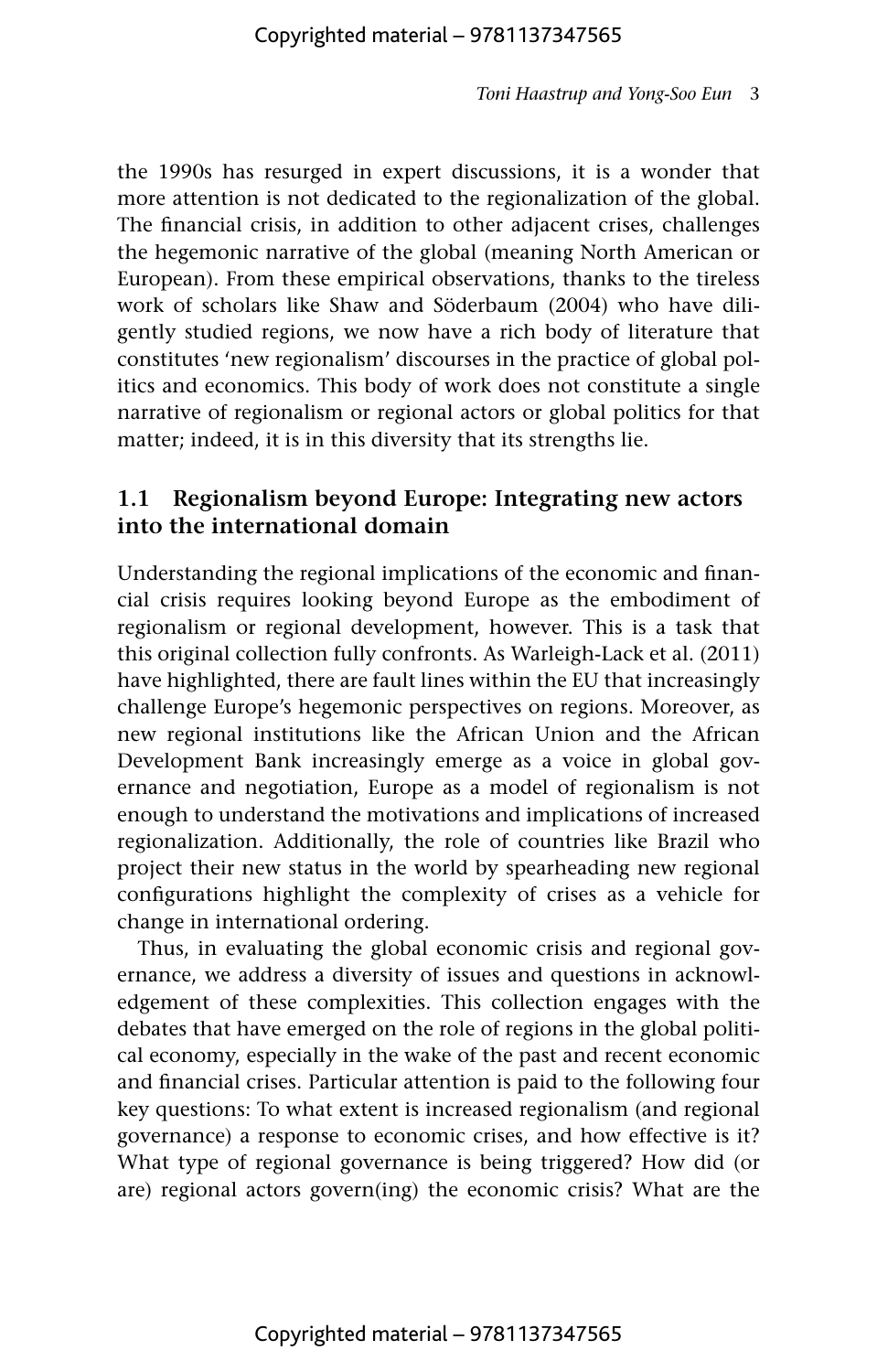the 1990s has resurged in expert discussions, it is a wonder that more attention is not dedicated to the regionalization of the global. The financial crisis, in addition to other adjacent crises, challenges the hegemonic narrative of the global (meaning North American or European). From these empirical observations, thanks to the tireless work of scholars like Shaw and Söderbaum (2004) who have diligently studied regions, we now have a rich body of literature that constitutes 'new regionalism' discourses in the practice of global politics and economics. This body of work does not constitute a single narrative of regionalism or regional actors or global politics for that matter; indeed, it is in this diversity that its strengths lie.

#### **1.1 Regionalism beyond Europe: Integrating new actors into the international domain**

Understanding the regional implications of the economic and financial crisis requires looking beyond Europe as the embodiment of regionalism or regional development, however. This is a task that this original collection fully confronts. As Warleigh-Lack et al. (2011) have highlighted, there are fault lines within the EU that increasingly challenge Europe's hegemonic perspectives on regions. Moreover, as new regional institutions like the African Union and the African Development Bank increasingly emerge as a voice in global governance and negotiation, Europe as a model of regionalism is not enough to understand the motivations and implications of increased regionalization. Additionally, the role of countries like Brazil who project their new status in the world by spearheading new regional configurations highlight the complexity of crises as a vehicle for change in international ordering.

Thus, in evaluating the global economic crisis and regional governance, we address a diversity of issues and questions in acknowledgement of these complexities. This collection engages with the debates that have emerged on the role of regions in the global political economy, especially in the wake of the past and recent economic and financial crises. Particular attention is paid to the following four key questions: To what extent is increased regionalism (and regional governance) a response to economic crises, and how effective is it? What type of regional governance is being triggered? How did (or are) regional actors govern(ing) the economic crisis? What are the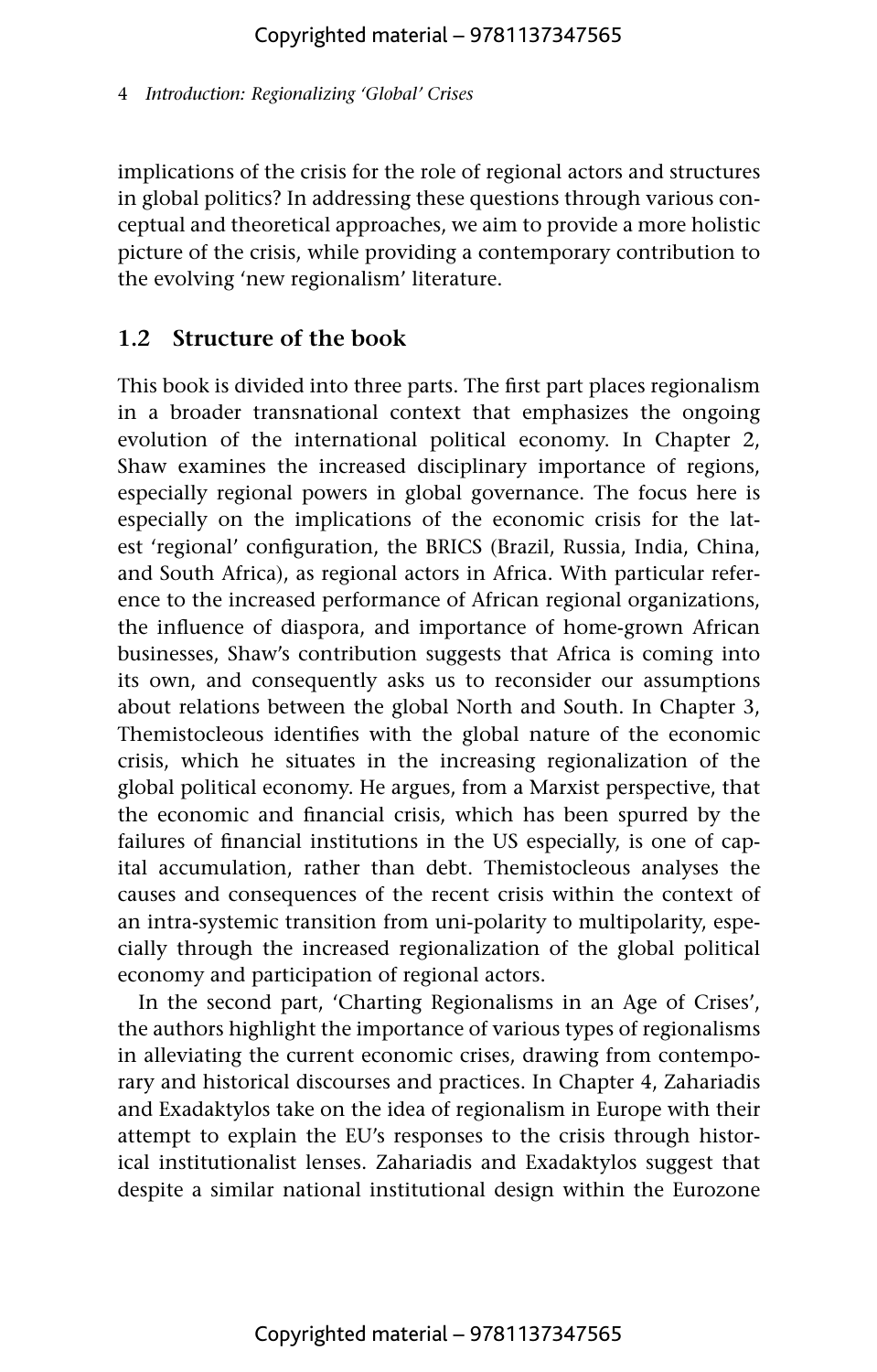#### 4 *Introduction: Regionalizing 'Global' Crises*

implications of the crisis for the role of regional actors and structures in global politics? In addressing these questions through various conceptual and theoretical approaches, we aim to provide a more holistic picture of the crisis, while providing a contemporary contribution to the evolving 'new regionalism' literature.

#### **1.2 Structure of the book**

This book is divided into three parts. The first part places regionalism in a broader transnational context that emphasizes the ongoing evolution of the international political economy. In Chapter 2, Shaw examines the increased disciplinary importance of regions, especially regional powers in global governance. The focus here is especially on the implications of the economic crisis for the latest 'regional' configuration, the BRICS (Brazil, Russia, India, China, and South Africa), as regional actors in Africa. With particular reference to the increased performance of African regional organizations, the influence of diaspora, and importance of home-grown African businesses, Shaw's contribution suggests that Africa is coming into its own, and consequently asks us to reconsider our assumptions about relations between the global North and South. In Chapter 3, Themistocleous identifies with the global nature of the economic crisis, which he situates in the increasing regionalization of the global political economy. He argues, from a Marxist perspective, that the economic and financial crisis, which has been spurred by the failures of financial institutions in the US especially, is one of capital accumulation, rather than debt. Themistocleous analyses the causes and consequences of the recent crisis within the context of an intra-systemic transition from uni-polarity to multipolarity, especially through the increased regionalization of the global political economy and participation of regional actors.

In the second part, 'Charting Regionalisms in an Age of Crises', the authors highlight the importance of various types of regionalisms in alleviating the current economic crises, drawing from contemporary and historical discourses and practices. In Chapter 4, Zahariadis and Exadaktylos take on the idea of regionalism in Europe with their attempt to explain the EU's responses to the crisis through historical institutionalist lenses. Zahariadis and Exadaktylos suggest that despite a similar national institutional design within the Eurozone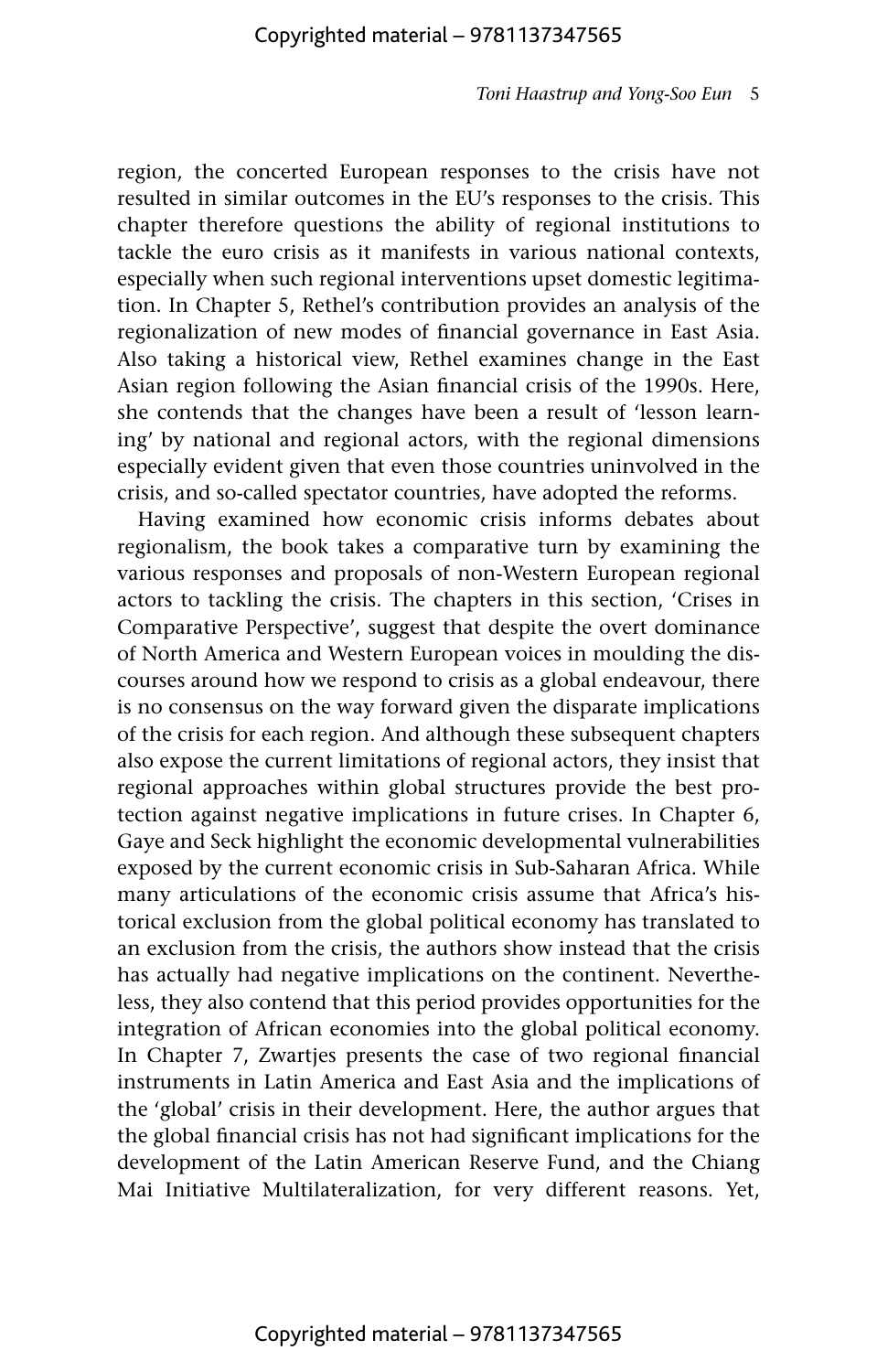#### *Toni Haastrup and Yong-Soo Eun* 5

region, the concerted European responses to the crisis have not resulted in similar outcomes in the EU's responses to the crisis. This chapter therefore questions the ability of regional institutions to tackle the euro crisis as it manifests in various national contexts, especially when such regional interventions upset domestic legitimation. In Chapter 5, Rethel's contribution provides an analysis of the regionalization of new modes of financial governance in East Asia. Also taking a historical view, Rethel examines change in the East Asian region following the Asian financial crisis of the 1990s. Here, she contends that the changes have been a result of 'lesson learning' by national and regional actors, with the regional dimensions especially evident given that even those countries uninvolved in the crisis, and so-called spectator countries, have adopted the reforms.

Having examined how economic crisis informs debates about regionalism, the book takes a comparative turn by examining the various responses and proposals of non-Western European regional actors to tackling the crisis. The chapters in this section, 'Crises in Comparative Perspective', suggest that despite the overt dominance of North America and Western European voices in moulding the discourses around how we respond to crisis as a global endeavour, there is no consensus on the way forward given the disparate implications of the crisis for each region. And although these subsequent chapters also expose the current limitations of regional actors, they insist that regional approaches within global structures provide the best protection against negative implications in future crises. In Chapter 6, Gaye and Seck highlight the economic developmental vulnerabilities exposed by the current economic crisis in Sub-Saharan Africa. While many articulations of the economic crisis assume that Africa's historical exclusion from the global political economy has translated to an exclusion from the crisis, the authors show instead that the crisis has actually had negative implications on the continent. Nevertheless, they also contend that this period provides opportunities for the integration of African economies into the global political economy. In Chapter 7, Zwartjes presents the case of two regional financial instruments in Latin America and East Asia and the implications of the 'global' crisis in their development. Here, the author argues that the global financial crisis has not had significant implications for the development of the Latin American Reserve Fund, and the Chiang Mai Initiative Multilateralization, for very different reasons. Yet,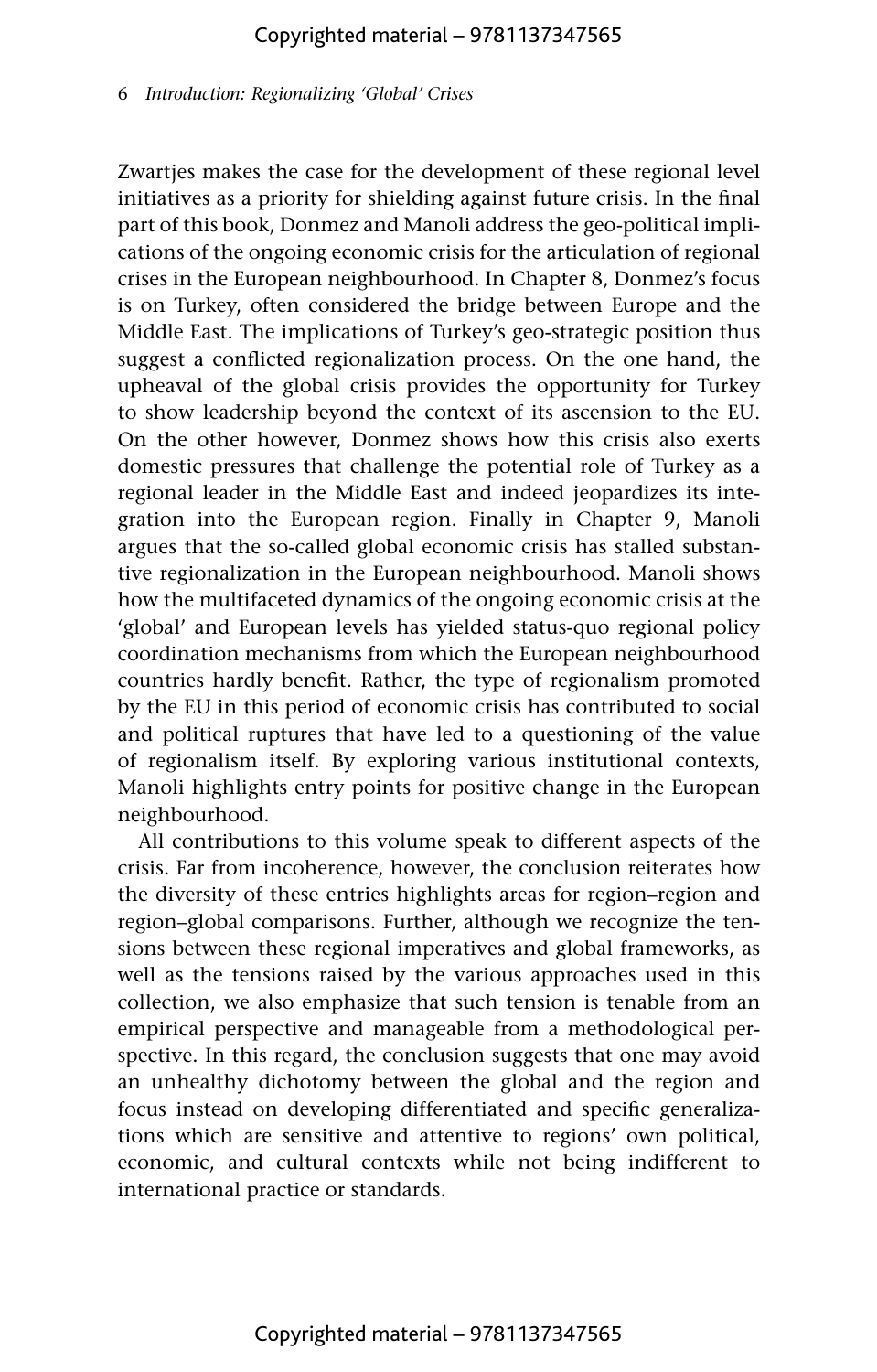#### 6 *Introduction: Regionalizing 'Global' Crises*

Zwartjes makes the case for the development of these regional level initiatives as a priority for shielding against future crisis. In the final part of this book, Donmez and Manoli address the geo-political implications of the ongoing economic crisis for the articulation of regional crises in the European neighbourhood. In Chapter 8, Donmez's focus is on Turkey, often considered the bridge between Europe and the Middle East. The implications of Turkey's geo-strategic position thus suggest a conflicted regionalization process. On the one hand, the upheaval of the global crisis provides the opportunity for Turkey to show leadership beyond the context of its ascension to the EU. On the other however, Donmez shows how this crisis also exerts domestic pressures that challenge the potential role of Turkey as a regional leader in the Middle East and indeed jeopardizes its integration into the European region. Finally in Chapter 9, Manoli argues that the so-called global economic crisis has stalled substantive regionalization in the European neighbourhood. Manoli shows how the multifaceted dynamics of the ongoing economic crisis at the 'global' and European levels has yielded status-quo regional policy coordination mechanisms from which the European neighbourhood countries hardly benefit. Rather, the type of regionalism promoted by the EU in this period of economic crisis has contributed to social and political ruptures that have led to a questioning of the value of regionalism itself. By exploring various institutional contexts, Manoli highlights entry points for positive change in the European neighbourhood.

All contributions to this volume speak to different aspects of the crisis. Far from incoherence, however, the conclusion reiterates how the diversity of these entries highlights areas for region–region and region–global comparisons. Further, although we recognize the tensions between these regional imperatives and global frameworks, as well as the tensions raised by the various approaches used in this collection, we also emphasize that such tension is tenable from an empirical perspective and manageable from a methodological perspective. In this regard, the conclusion suggests that one may avoid an unhealthy dichotomy between the global and the region and focus instead on developing differentiated and specific generalizations which are sensitive and attentive to regions' own political, economic, and cultural contexts while not being indifferent to international practice or standards.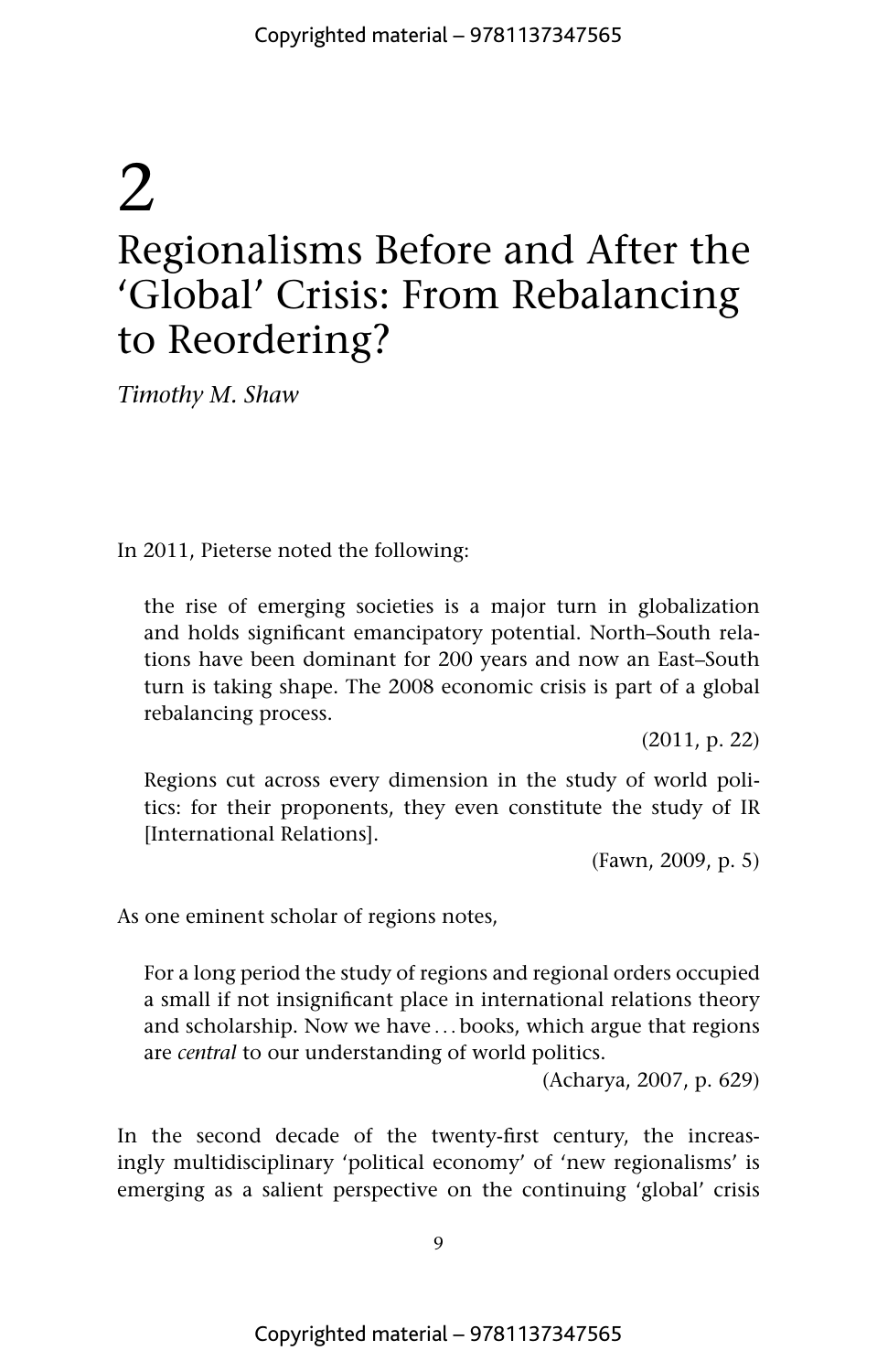## 2 Regionalisms Before and After the 'Global' Crisis: From Rebalancing to Reordering?

*Timothy M. Shaw*

In 2011, Pieterse noted the following:

the rise of emerging societies is a major turn in globalization and holds significant emancipatory potential. North–South relations have been dominant for 200 years and now an East–South turn is taking shape. The 2008 economic crisis is part of a global rebalancing process.

(2011, p. 22)

Regions cut across every dimension in the study of world politics: for their proponents, they even constitute the study of IR [International Relations].

(Fawn, 2009, p. 5)

As one eminent scholar of regions notes,

For a long period the study of regions and regional orders occupied a small if not insignificant place in international relations theory and scholarship. Now we have ... books, which argue that regions are *central* to our understanding of world politics.

(Acharya, 2007, p. 629)

In the second decade of the twenty-first century, the increasingly multidisciplinary 'political economy' of 'new regionalisms' is emerging as a salient perspective on the continuing 'global' crisis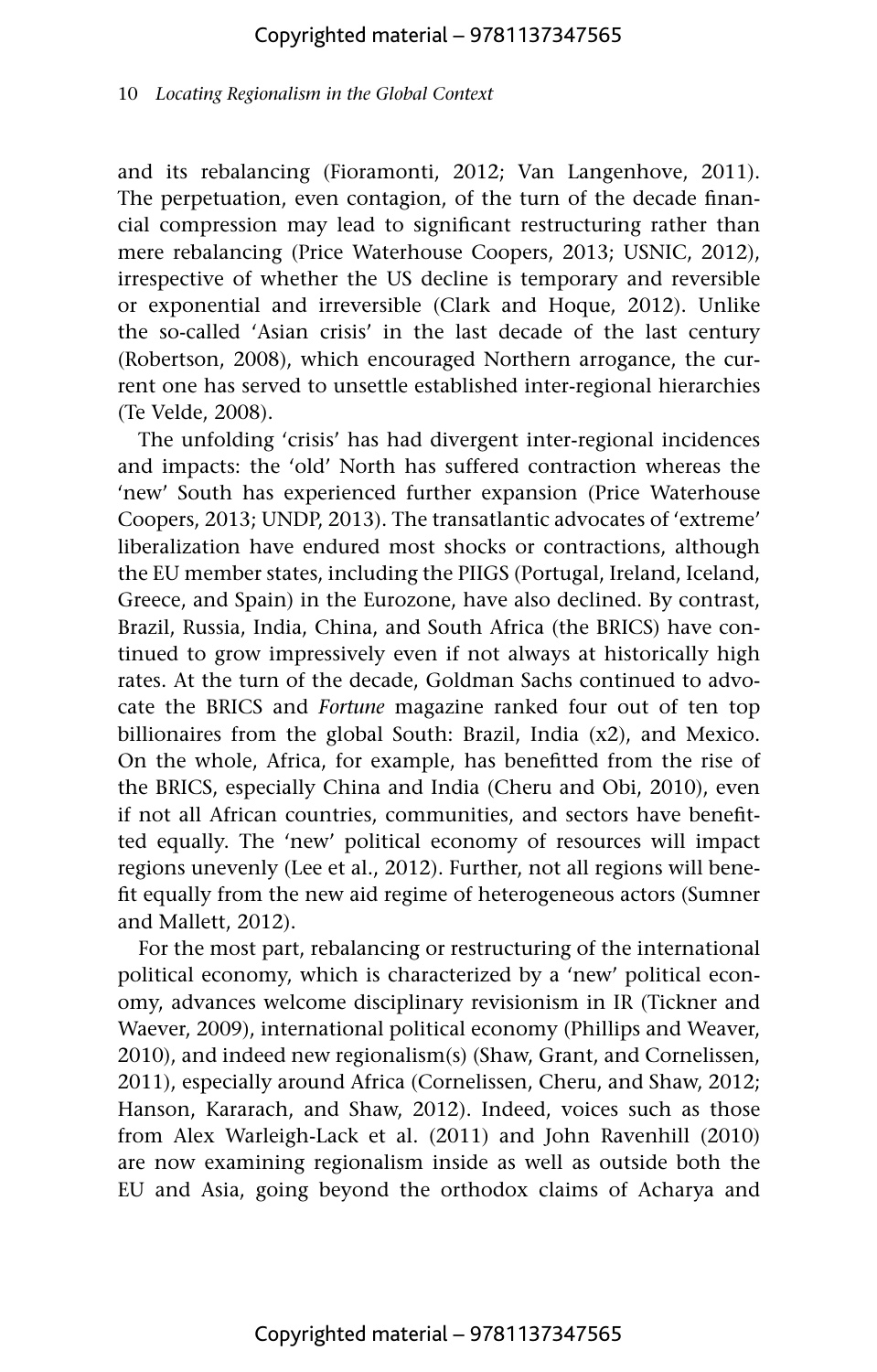#### 10 *Locating Regionalism in the Global Context*

and its rebalancing (Fioramonti, 2012; Van Langenhove, 2011). The perpetuation, even contagion, of the turn of the decade financial compression may lead to significant restructuring rather than mere rebalancing (Price Waterhouse Coopers, 2013; USNIC, 2012), irrespective of whether the US decline is temporary and reversible or exponential and irreversible (Clark and Hoque, 2012). Unlike the so-called 'Asian crisis' in the last decade of the last century (Robertson, 2008), which encouraged Northern arrogance, the current one has served to unsettle established inter-regional hierarchies (Te Velde, 2008).

The unfolding 'crisis' has had divergent inter-regional incidences and impacts: the 'old' North has suffered contraction whereas the 'new' South has experienced further expansion (Price Waterhouse Coopers, 2013; UNDP, 2013). The transatlantic advocates of 'extreme' liberalization have endured most shocks or contractions, although the EU member states, including the PIIGS (Portugal, Ireland, Iceland, Greece, and Spain) in the Eurozone, have also declined. By contrast, Brazil, Russia, India, China, and South Africa (the BRICS) have continued to grow impressively even if not always at historically high rates. At the turn of the decade, Goldman Sachs continued to advocate the BRICS and *Fortune* magazine ranked four out of ten top billionaires from the global South: Brazil, India (x2), and Mexico. On the whole, Africa, for example, has benefitted from the rise of the BRICS, especially China and India (Cheru and Obi, 2010), even if not all African countries, communities, and sectors have benefitted equally. The 'new' political economy of resources will impact regions unevenly (Lee et al., 2012). Further, not all regions will benefit equally from the new aid regime of heterogeneous actors (Sumner and Mallett, 2012).

For the most part, rebalancing or restructuring of the international political economy, which is characterized by a 'new' political economy, advances welcome disciplinary revisionism in IR (Tickner and Waever, 2009), international political economy (Phillips and Weaver, 2010), and indeed new regionalism(s) (Shaw, Grant, and Cornelissen, 2011), especially around Africa (Cornelissen, Cheru, and Shaw, 2012; Hanson, Kararach, and Shaw, 2012). Indeed, voices such as those from Alex Warleigh-Lack et al. (2011) and John Ravenhill (2010) are now examining regionalism inside as well as outside both the EU and Asia, going beyond the orthodox claims of Acharya and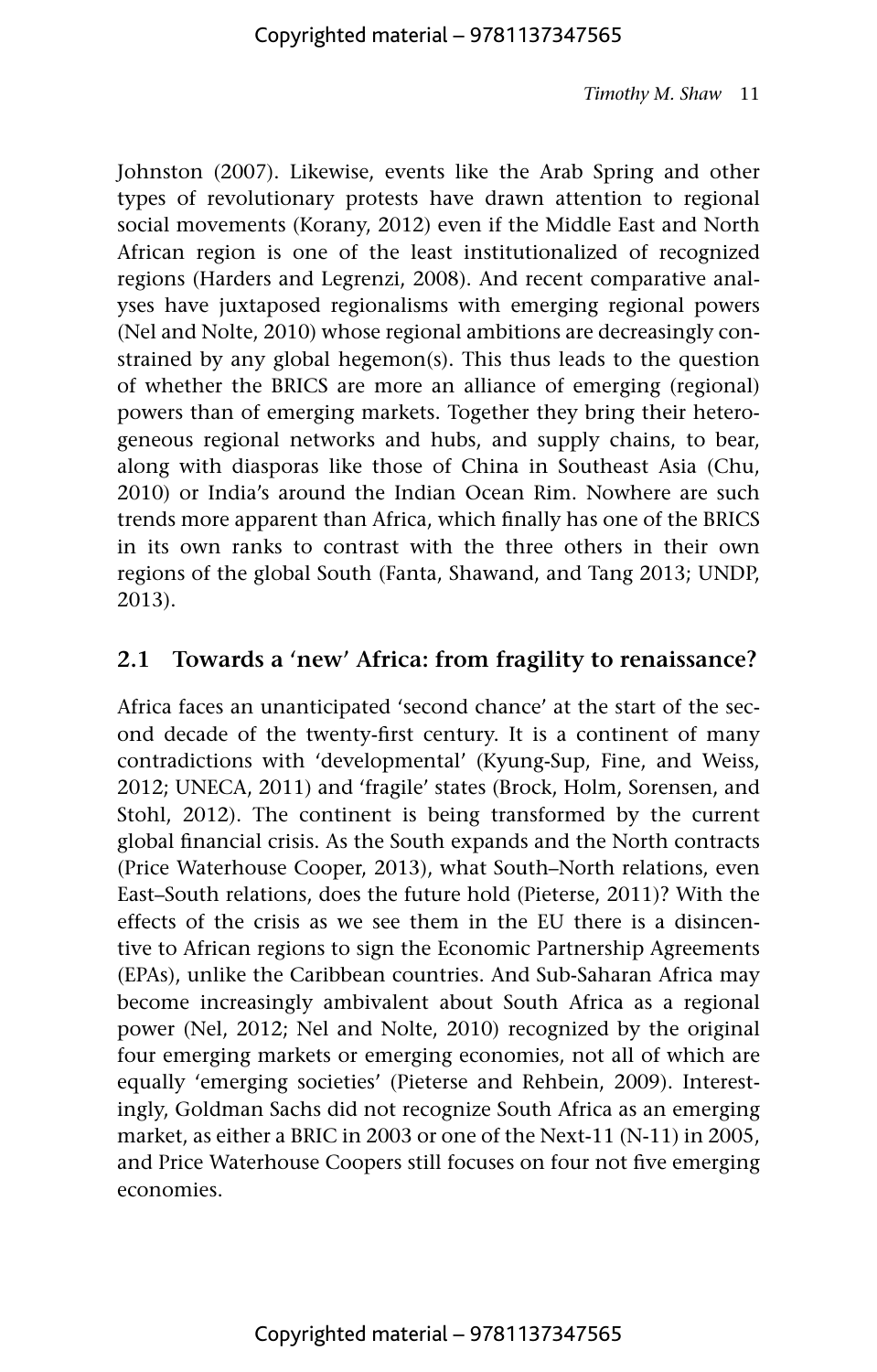Johnston (2007). Likewise, events like the Arab Spring and other types of revolutionary protests have drawn attention to regional social movements (Korany, 2012) even if the Middle East and North African region is one of the least institutionalized of recognized regions (Harders and Legrenzi, 2008). And recent comparative analyses have juxtaposed regionalisms with emerging regional powers (Nel and Nolte, 2010) whose regional ambitions are decreasingly constrained by any global hegemon(s). This thus leads to the question of whether the BRICS are more an alliance of emerging (regional) powers than of emerging markets. Together they bring their heterogeneous regional networks and hubs, and supply chains, to bear, along with diasporas like those of China in Southeast Asia (Chu, 2010) or India's around the Indian Ocean Rim. Nowhere are such trends more apparent than Africa, which finally has one of the BRICS in its own ranks to contrast with the three others in their own regions of the global South (Fanta, Shawand, and Tang 2013; UNDP, 2013).

#### **2.1 Towards a 'new' Africa: from fragility to renaissance?**

Africa faces an unanticipated 'second chance' at the start of the second decade of the twenty-first century. It is a continent of many contradictions with 'developmental' (Kyung-Sup, Fine, and Weiss, 2012; UNECA, 2011) and 'fragile' states (Brock, Holm, Sorensen, and Stohl, 2012). The continent is being transformed by the current global financial crisis. As the South expands and the North contracts (Price Waterhouse Cooper, 2013), what South–North relations, even East–South relations, does the future hold (Pieterse, 2011)? With the effects of the crisis as we see them in the EU there is a disincentive to African regions to sign the Economic Partnership Agreements (EPAs), unlike the Caribbean countries. And Sub-Saharan Africa may become increasingly ambivalent about South Africa as a regional power (Nel, 2012; Nel and Nolte, 2010) recognized by the original four emerging markets or emerging economies, not all of which are equally 'emerging societies' (Pieterse and Rehbein, 2009). Interestingly, Goldman Sachs did not recognize South Africa as an emerging market, as either a BRIC in 2003 or one of the Next-11 (N-11) in 2005, and Price Waterhouse Coopers still focuses on four not five emerging economies.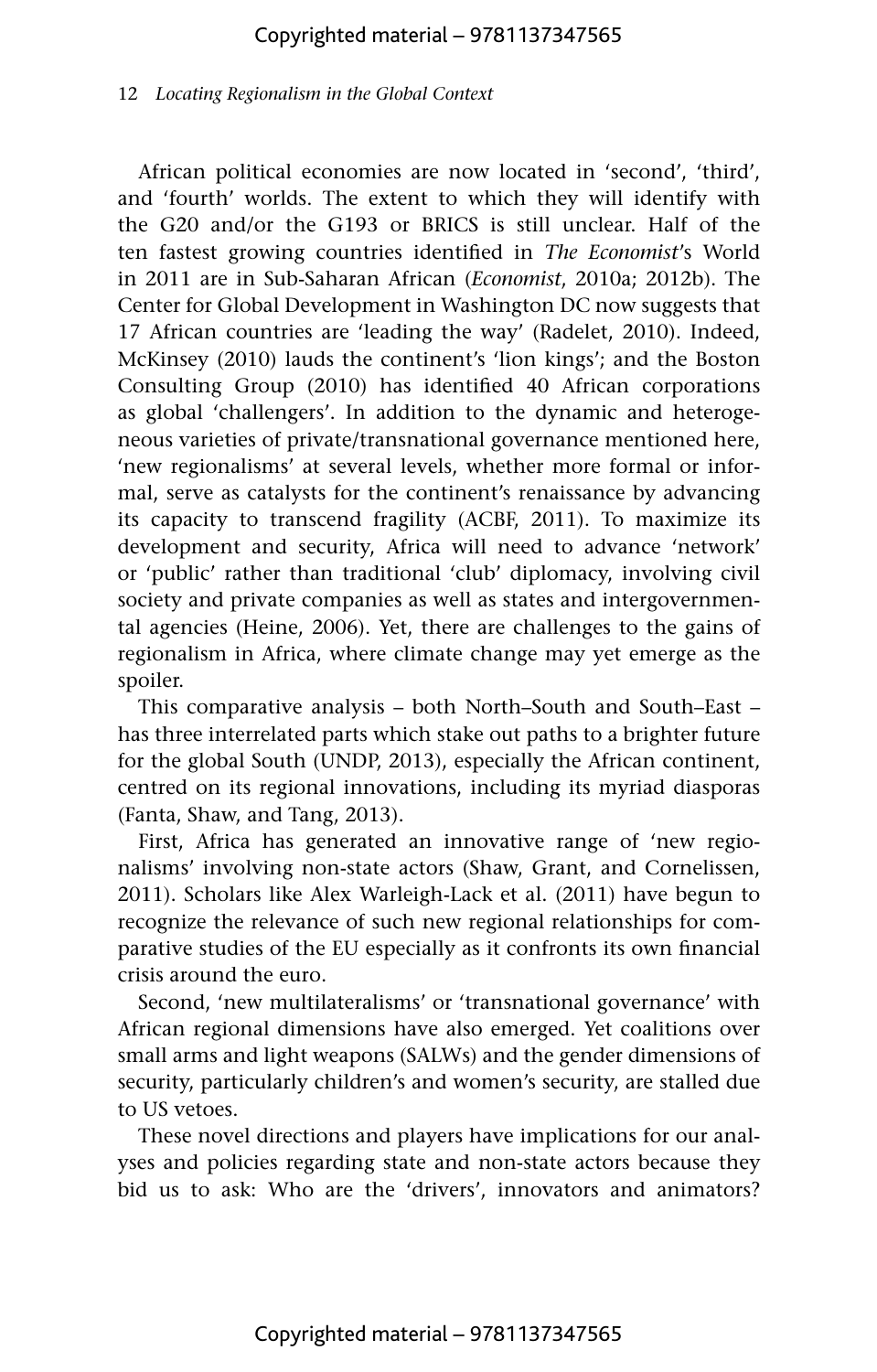#### 12 *Locating Regionalism in the Global Context*

African political economies are now located in 'second', 'third', and 'fourth' worlds. The extent to which they will identify with the G20 and/or the G193 or BRICS is still unclear. Half of the ten fastest growing countries identified in *The Economist*'s World in 2011 are in Sub-Saharan African (*Economist*, 2010a; 2012b). The Center for Global Development in Washington DC now suggests that 17 African countries are 'leading the way' (Radelet, 2010). Indeed, McKinsey (2010) lauds the continent's 'lion kings'; and the Boston Consulting Group (2010) has identified 40 African corporations as global 'challengers'. In addition to the dynamic and heterogeneous varieties of private/transnational governance mentioned here, 'new regionalisms' at several levels, whether more formal or informal, serve as catalysts for the continent's renaissance by advancing its capacity to transcend fragility (ACBF, 2011). To maximize its development and security, Africa will need to advance 'network' or 'public' rather than traditional 'club' diplomacy, involving civil society and private companies as well as states and intergovernmental agencies (Heine, 2006). Yet, there are challenges to the gains of regionalism in Africa, where climate change may yet emerge as the spoiler.

This comparative analysis – both North–South and South–East – has three interrelated parts which stake out paths to a brighter future for the global South (UNDP, 2013), especially the African continent, centred on its regional innovations, including its myriad diasporas (Fanta, Shaw, and Tang, 2013).

First, Africa has generated an innovative range of 'new regionalisms' involving non-state actors (Shaw, Grant, and Cornelissen, 2011). Scholars like Alex Warleigh-Lack et al. (2011) have begun to recognize the relevance of such new regional relationships for comparative studies of the EU especially as it confronts its own financial crisis around the euro.

Second, 'new multilateralisms' or 'transnational governance' with African regional dimensions have also emerged. Yet coalitions over small arms and light weapons (SALWs) and the gender dimensions of security, particularly children's and women's security, are stalled due to US vetoes.

These novel directions and players have implications for our analyses and policies regarding state and non-state actors because they bid us to ask: Who are the 'drivers', innovators and animators?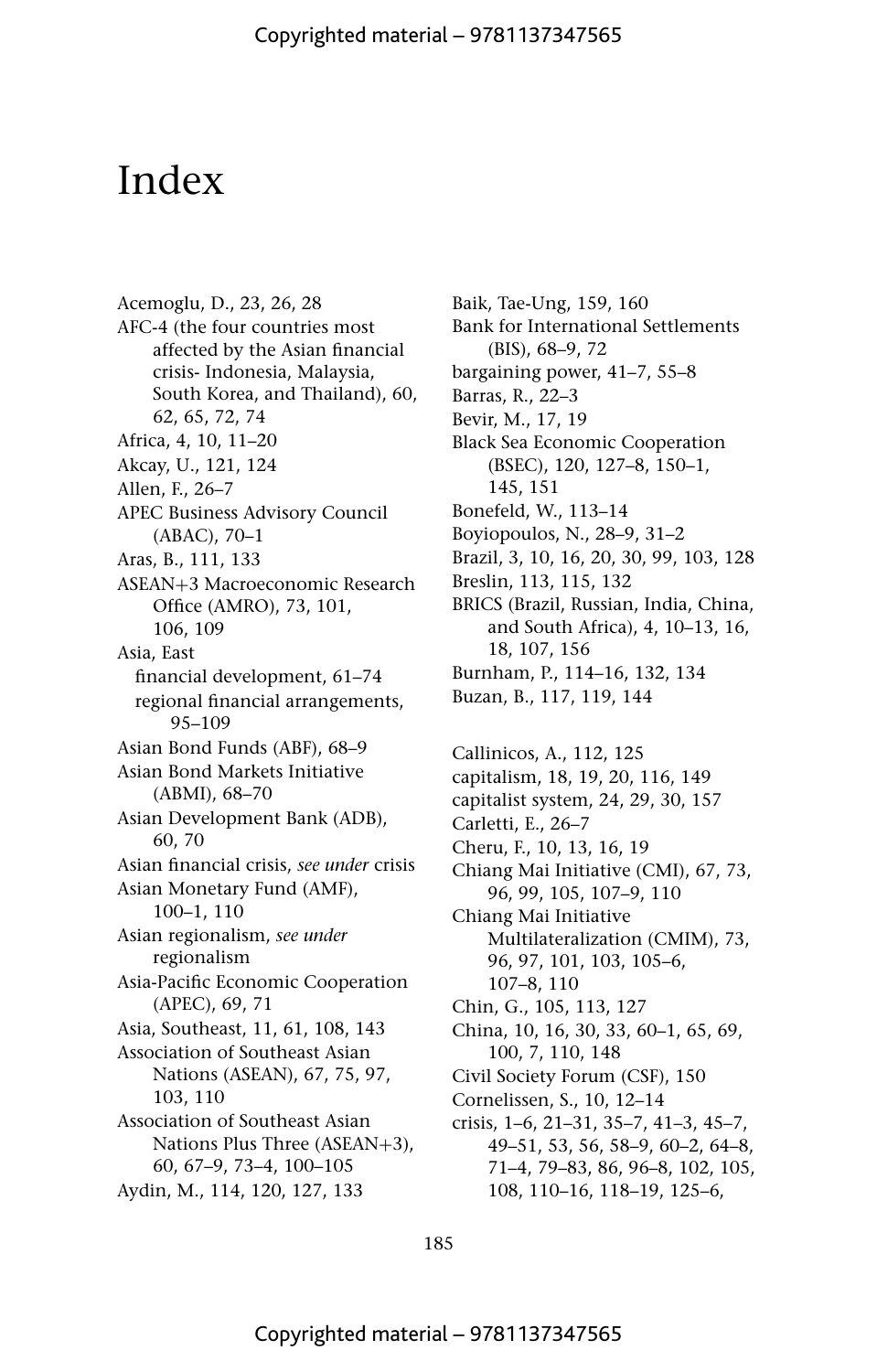Acemoglu, D., 23, 26, 28 AFC-4 (the four countries most affected by the Asian financial crisis- Indonesia, Malaysia, South Korea, and Thailand), 60, 62, 65, 72, 74 Africa, 4, 10, 11–20 Akcay, U., 121, 124 Allen, F., 26–7 APEC Business Advisory Council (ABAC), 70–1 Aras, B., 111, 133 ASEAN+3 Macroeconomic Research Office (AMRO), 73, 101, 106, 109 Asia, East financial development, 61–74 regional financial arrangements, 95–109 Asian Bond Funds (ABF), 68–9 Asian Bond Markets Initiative (ABMI), 68–70 Asian Development Bank (ADB), 60, 70 Asian financial crisis, *see under* crisis Asian Monetary Fund (AMF), 100–1, 110 Asian regionalism, *see under* regionalism Asia-Pacific Economic Cooperation (APEC), 69, 71 Asia, Southeast, 11, 61, 108, 143 Association of Southeast Asian Nations (ASEAN), 67, 75, 97, 103, 110 Association of Southeast Asian Nations Plus Three (ASEAN+3), 60, 67–9, 73–4, 100–105 Aydin, M., 114, 120, 127, 133

Baik, Tae-Ung, 159, 160 Bank for International Settlements (BIS), 68–9, 72 bargaining power, 41–7, 55–8 Barras, R., 22–3 Bevir, M., 17, 19 Black Sea Economic Cooperation (BSEC), 120, 127–8, 150–1, 145, 151 Bonefeld, W., 113–14 Boyiopoulos, N., 28–9, 31–2 Brazil, 3, 10, 16, 20, 30, 99, 103, 128 Breslin, 113, 115, 132 BRICS (Brazil, Russian, India, China, and South Africa), 4, 10–13, 16, 18, 107, 156 Burnham, P., 114–16, 132, 134 Buzan, B., 117, 119, 144

Callinicos, A., 112, 125 capitalism, 18, 19, 20, 116, 149 capitalist system, 24, 29, 30, 157 Carletti, E., 26–7 Cheru, F., 10, 13, 16, 19 Chiang Mai Initiative (CMI), 67, 73, 96, 99, 105, 107–9, 110 Chiang Mai Initiative Multilateralization (CMIM), 73, 96, 97, 101, 103, 105–6, 107–8, 110 Chin, G., 105, 113, 127 China, 10, 16, 30, 33, 60–1, 65, 69, 100, 7, 110, 148 Civil Society Forum (CSF), 150 Cornelissen, S., 10, 12–14 crisis, 1–6, 21–31, 35–7, 41–3, 45–7, 49–51, 53, 56, 58–9, 60–2, 64–8, 71–4, 79–83, 86, 96–8, 102, 105, 108, 110–16, 118–19, 125–6,

185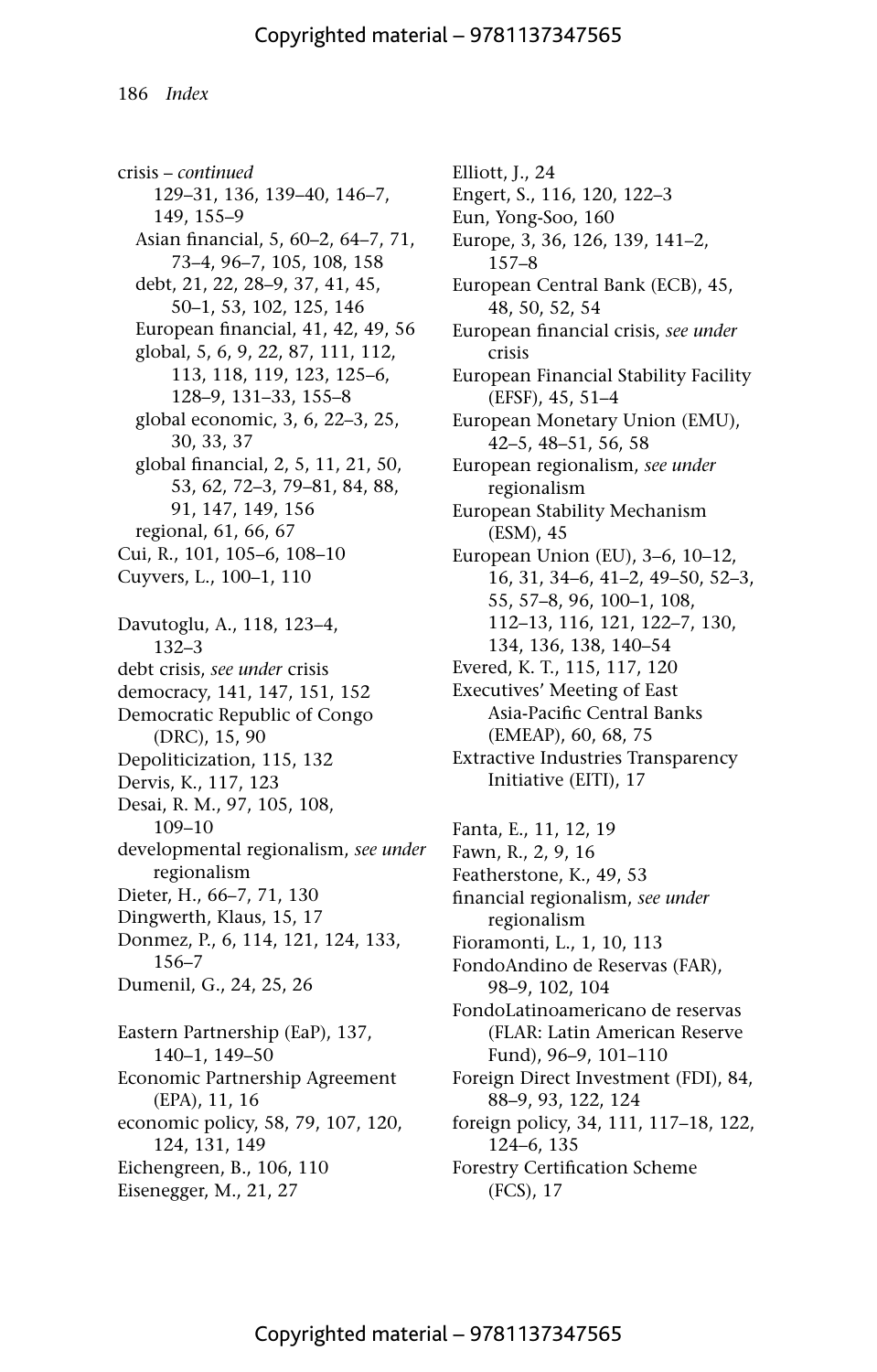crisis – *continued* 129–31, 136, 139–40, 146–7, 149, 155–9 Asian financial, 5, 60–2, 64–7, 71, 73–4, 96–7, 105, 108, 158 debt, 21, 22, 28–9, 37, 41, 45, 50–1, 53, 102, 125, 146 European financial, 41, 42, 49, 56 global, 5, 6, 9, 22, 87, 111, 112, 113, 118, 119, 123, 125–6, 128–9, 131–33, 155–8 global economic, 3, 6, 22–3, 25, 30, 33, 37 global financial, 2, 5, 11, 21, 50, 53, 62, 72–3, 79–81, 84, 88, 91, 147, 149, 156 regional, 61, 66, 67 Cui, R., 101, 105–6, 108–10 Cuyvers, L., 100–1, 110 Davutoglu, A., 118, 123–4, 132–3 debt crisis, *see under* crisis democracy, 141, 147, 151, 152 Democratic Republic of Congo (DRC), 15, 90 Depoliticization, 115, 132 Dervis, K., 117, 123 Desai, R. M., 97, 105, 108, 109–10 developmental regionalism, *see under* regionalism Dieter, H., 66–7, 71, 130 Dingwerth, Klaus, 15, 17 Donmez, P., 6, 114, 121, 124, 133, 156–7 Dumenil, G., 24, 25, 26 Eastern Partnership (EaP), 137, 140–1, 149–50 Economic Partnership Agreement (EPA), 11, 16 economic policy, 58, 79, 107, 120, 124, 131, 149 Eichengreen, B., 106, 110 Eisenegger, M., 21, 27

Elliott, J., 24 Engert, S., 116, 120, 122–3 Eun, Yong-Soo, 160 Europe, 3, 36, 126, 139, 141–2, 157–8 European Central Bank (ECB), 45, 48, 50, 52, 54 European financial crisis, *see under* crisis European Financial Stability Facility (EFSF), 45, 51–4 European Monetary Union (EMU), 42–5, 48–51, 56, 58 European regionalism, *see under* regionalism European Stability Mechanism (ESM), 45 European Union (EU), 3–6, 10–12, 16, 31, 34–6, 41–2, 49–50, 52–3, 55, 57–8, 96, 100–1, 108, 112–13, 116, 121, 122–7, 130, 134, 136, 138, 140–54 Evered, K. T., 115, 117, 120 Executives' Meeting of East Asia-Pacific Central Banks (EMEAP), 60, 68, 75 Extractive Industries Transparency Initiative (EITI), 17 Fanta, E., 11, 12, 19 Fawn, R., 2, 9, 16 Featherstone, K., 49, 53 financial regionalism, *see under* regionalism Fioramonti, L., 1, 10, 113 FondoAndino de Reservas (FAR), 98–9, 102, 104 FondoLatinoamericano de reservas (FLAR: Latin American Reserve Fund), 96–9, 101–110 Foreign Direct Investment (FDI), 84, 88–9, 93, 122, 124 foreign policy, 34, 111, 117–18, 122, 124–6, 135 Forestry Certification Scheme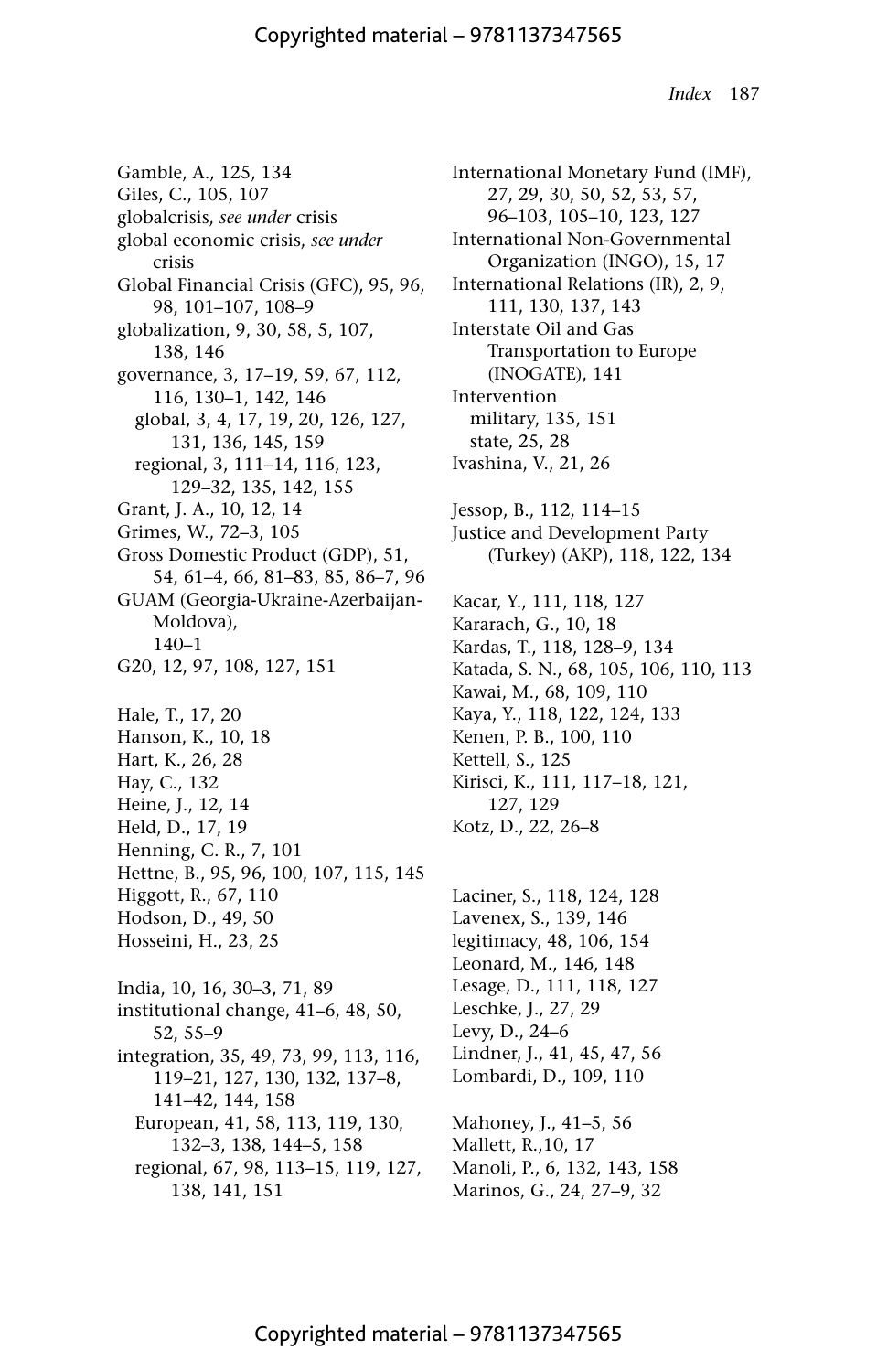Gamble, A., 125, 134 Giles, C., 105, 107 globalcrisis, *see under* crisis global economic crisis, *see under* crisis Global Financial Crisis (GFC), 95, 96, 98, 101–107, 108–9 globalization, 9, 30, 58, 5, 107, 138, 146 governance, 3, 17–19, 59, 67, 112, 116, 130–1, 142, 146 global, 3, 4, 17, 19, 20, 126, 127, 131, 136, 145, 159 regional, 3, 111–14, 116, 123, 129–32, 135, 142, 155 Grant, J. A., 10, 12, 14 Grimes, W., 72–3, 105 Gross Domestic Product (GDP), 51, 54, 61–4, 66, 81–83, 85, 86–7, 96 GUAM (Georgia-Ukraine-Azerbaijan-Moldova), 140–1 G20, 12, 97, 108, 127, 151 Hale, T., 17, 20 Hanson, K., 10, 18 Hart, K., 26, 28 Hay, C., 132 Heine, J., 12, 14 Held, D., 17, 19 Henning, C. R., 7, 101 Hettne, B., 95, 96, 100, 107, 115, 145 Higgott, R., 67, 110 Hodson, D., 49, 50 Hosseini, H., 23, 25 India, 10, 16, 30–3, 71, 89 institutional change, 41–6, 48, 50, 52, 55–9 integration, 35, 49, 73, 99, 113, 116, 119–21, 127, 130, 132, 137–8, 141–42, 144, 158 European, 41, 58, 113, 119, 130, 132–3, 138, 144–5, 158 regional, 67, 98, 113–15, 119, 127, 138, 141, 151

International Monetary Fund (IMF), 27, 29, 30, 50, 52, 53, 57, 96–103, 105–10, 123, 127 International Non-Governmental Organization (INGO), 15, 17 International Relations (IR), 2, 9, 111, 130, 137, 143 Interstate Oil and Gas Transportation to Europe (INOGATE), 141 Intervention military, 135, 151 state, 25, 28 Ivashina, V., 21, 26 Jessop, B., 112, 114–15 Justice and Development Party (Turkey) (AKP), 118, 122, 134 Kacar, Y., 111, 118, 127 Kararach, G., 10, 18 Kardas, T., 118, 128–9, 134 Katada, S. N., 68, 105, 106, 110, 113 Kawai, M., 68, 109, 110 Kaya, Y., 118, 122, 124, 133 Kenen, P. B., 100, 110 Kettell, S., 125 Kirisci, K., 111, 117–18, 121, 127, 129 Kotz, D., 22, 26–8

Laciner, S., 118, 124, 128 Lavenex, S., 139, 146 legitimacy, 48, 106, 154 Leonard, M., 146, 148 Lesage, D., 111, 118, 127 Leschke, J., 27, 29 Levy, D., 24–6 Lindner, J., 41, 45, 47, 56 Lombardi, D., 109, 110 Mahoney, J., 41–5, 56 Mallett, R.,10, 17 Manoli, P., 6, 132, 143, 158 Marinos, G., 24, 27–9, 32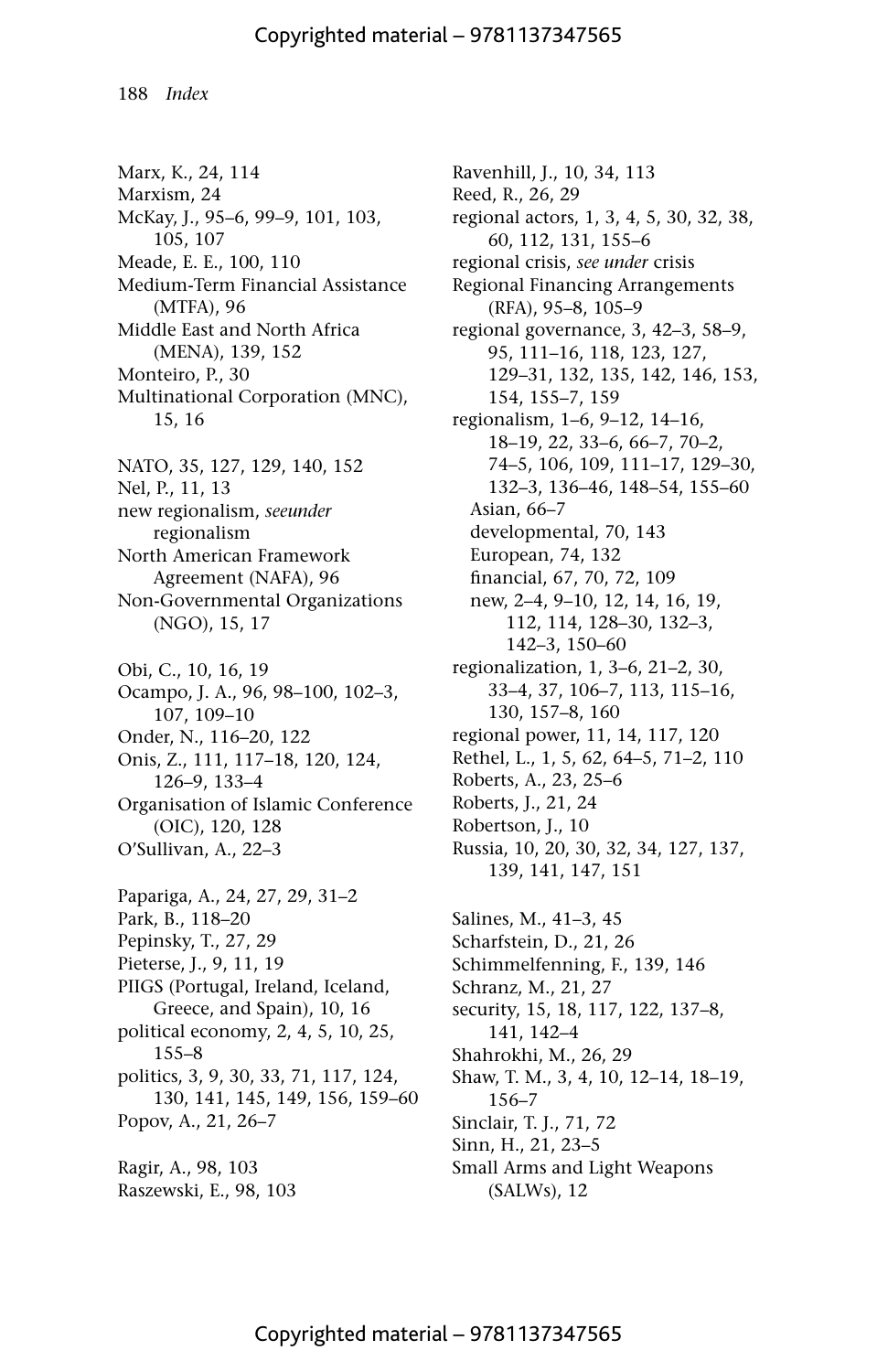Marx, K., 24, 114 Marxism, 24 McKay, J., 95–6, 99–9, 101, 103, 105, 107 Meade, E. E., 100, 110 Medium-Term Financial Assistance (MTFA), 96 Middle East and North Africa (MENA), 139, 152 Monteiro, P., 30 Multinational Corporation (MNC), 15, 16 NATO, 35, 127, 129, 140, 152 Nel, P., 11, 13 new regionalism, *seeunder* regionalism North American Framework Agreement (NAFA), 96 Non-Governmental Organizations (NGO), 15, 17 Obi, C., 10, 16, 19 Ocampo, J. A., 96, 98–100, 102–3, 107, 109–10 Onder, N., 116–20, 122 Onis, Z., 111, 117–18, 120, 124, 126–9, 133–4 Organisation of Islamic Conference (OIC), 120, 128 O'Sullivan, A., 22–3 Papariga, A., 24, 27, 29, 31–2 Park, B., 118–20 Pepinsky, T., 27, 29 Pieterse, J., 9, 11, 19 PIIGS (Portugal, Ireland, Iceland, Greece, and Spain), 10, 16 political economy, 2, 4, 5, 10, 25, 155–8 politics, 3, 9, 30, 33, 71, 117, 124, 130, 141, 145, 149, 156, 159–60 Popov, A., 21, 26–7 Ragir, A., 98, 103 Raszewski, E., 98, 103

Ravenhill, J., 10, 34, 113 Reed, R., 26, 29 regional actors, 1, 3, 4, 5, 30, 32, 38, 60, 112, 131, 155–6 regional crisis, *see under* crisis Regional Financing Arrangements (RFA), 95–8, 105–9 regional governance, 3, 42–3, 58–9, 95, 111–16, 118, 123, 127, 129–31, 132, 135, 142, 146, 153, 154, 155–7, 159 regionalism, 1–6, 9–12, 14–16, 18–19, 22, 33–6, 66–7, 70–2, 74–5, 106, 109, 111–17, 129–30, 132–3, 136–46, 148–54, 155–60 Asian, 66–7 developmental, 70, 143 European, 74, 132 financial, 67, 70, 72, 109 new, 2–4, 9–10, 12, 14, 16, 19, 112, 114, 128–30, 132–3, 142–3, 150–60 regionalization, 1, 3–6, 21–2, 30, 33–4, 37, 106–7, 113, 115–16, 130, 157–8, 160 regional power, 11, 14, 117, 120 Rethel, L., 1, 5, 62, 64–5, 71–2, 110 Roberts, A., 23, 25–6 Roberts, J., 21, 24 Robertson, J., 10 Russia, 10, 20, 30, 32, 34, 127, 137, 139, 141, 147, 151 Salines, M., 41–3, 45 Scharfstein, D., 21, 26 Schimmelfenning, F., 139, 146 Schranz, M., 21, 27 security, 15, 18, 117, 122, 137–8, 141, 142–4 Shahrokhi, M., 26, 29 Shaw, T. M., 3, 4, 10, 12–14, 18–19, 156–7 Sinclair, T. J., 71, 72 Sinn, H., 21, 23–5 Small Arms and Light Weapons (SALWs), 12